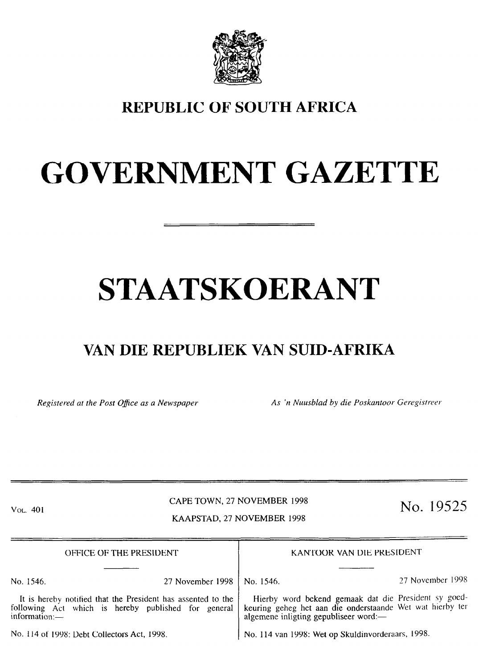

## **REPUBLIC OF SOUTH AFRICA**

# **GOVERNMENT GAZETTE**

# **STAATSKOERANT**

# **VAN DIE REPUBLIEK VAN SUID-AFRIKA**

*Registered at the Post Office as a Newspaper* **As 'n Nuusblad by die Poskantoor Geregistreer** 

#### CAPE TOWN, 27 NOVEMBER 1998 Vol. 401 **No. 19525**

## KAAPSTAD. 27 NOVEMBER 1998

OFFICE OF THE PRESIDENT No. 1546. 27 November 1998 It is hereby notified that the President has assented to the following Act which is hereby published for general  $information:$ No. 114 of 1998: Debt Collectors Act, 1998. No. 114 van 1998: Wet op Skuldinvorderaars, 1998. KANTOOR VAN DIE PRESIDENT No. 1546. 27 November 1998 Hierby word bekend gemaak dat die President sy goedkeuring geheg het aan die onderstaande Wet wat hierby teralgemene inligting gepubliseer word:-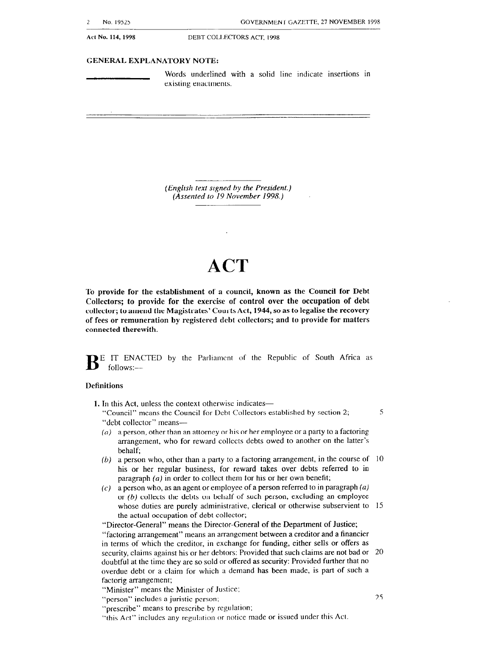**ACI No. 114, 1998 DEBT COL.I.ECTOKS ACT. 1998** 

#### GENERAL EXPLANATORY NOTE:

**Words underlined with a solid** line indicate insertions in existing enactments.

*(English text signed by the President.) (Assented to 19 November 1998.)* 

## **ACT**

**To provide for the establishment of a council, known as the Council for Debt Collectors; to provide for the exercise of control over the occupation of debt collector; to amend the Magistrates' Courts Act, 1944, so as to legalise the recovery of fees or remuneration by registered debt collectors; and to provide for matters connected therewith.** 

**B** E **IT ENACTED** by the Parliament of the Republic of South Africa as  $follows:$ 

#### **Definitions**

1. In this Act, unless the context otherwise indicates-

"Council" means the Council for Debt Collectors established by section 2; "debt collector" means5

- (a) a person, other than an attorney or his or her employee or a party to a factoring arrangement, who for reward collects debts owed to another on the latter's behalf;
- (b) a person who, other than a party to a factoring arrangement, in the course of  $\,10$ his or her regular business, for reward takes over debts referred to in paragraph (a) in order to collect them for his or her own benefit;
- $(c)$  a person who, as an agent or employee of a person referred to in paragraph (a) or (b) collects the debts on behalf of such person, excluding an employee whose duties are purely administrative, clerical or otherwise subservient to 15 the actual occupation of debt collector;

"Director-General" means the Director-General of the Department of Justice; "factoring arrangement" means an arrangement between a creditor and a financier in terms of which the creditor, in exchange for funding, either sells or offers as security, claims against his or her debtors: Provided that such claims are not bad or 20 doubtful at the time they are so sold or offered as security: Provided further that no overdue debt or a claim for which a demand has been made, is part of such a factorig arrangement;

"Minister" means the Minister of Justice;

"person" includes a juristic person;

- "prescribe" means to prescribe by regulation;
- "this Act" includes any regulation or norice made or issued under this Act.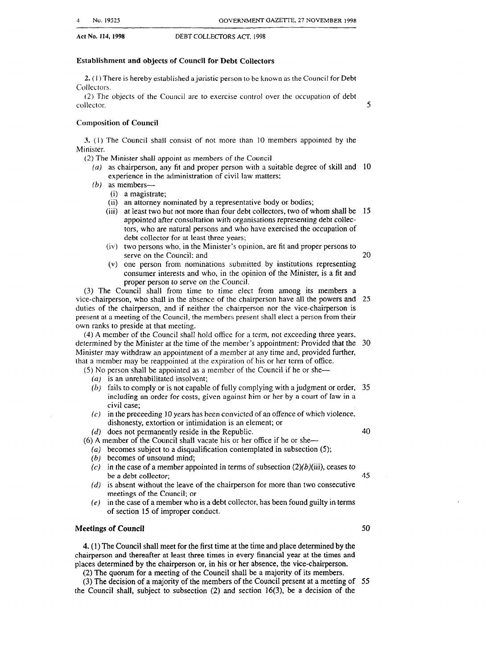#### **Establishment and objects of Council for Debt Collectors**

**2. (1)** There is hereby established a juristic person to be known as the Council for Debt Collectors.

(2) The objects of the Council are to exercise control over the occupation of debt collector.

Composition **of Council** 

**3.** ( 1) The Council shall consist of not more than 10 members appointed by the Minister.

- (2) The Minister shall appoint as members of the Council-
	- (*a*) as chairperson, any fit and proper person with a suitable degree of skill and 10 experience in the administration of civil law matters;
	- $(b)$  as members-
		- (i) a magistrate
		- (ii) an attorney nominated by a representative body or bodies;
		- (iii) at least two but not more than four debt collectors, two of whom shall be 15 appointed after consultation with organisations representing debt collectors, who are natural persons and who have exercised the occupation of debt collector for at least three years;
		- (iv) two persons who, in the Minister's opinion, are fit and proper persons to serve on the Council; and
		- (v) one person from nominations submitted by institutions representing consumer interests and who, in the opinion of the Minister, is a fit and proper person to serve on the Council.

(3) The Council shall from time to time elect from among its members a vice-chairperson, who shall in the absence of the chairperson have all the powers **and**  25 duties of the chairperson, and if neither the chairperson nor the vice-chairperson is present at a meeting of the Council, the members present shall elect a person from their own ranks to preside at that meeting.

(4) A member of the Council shall hold office for a term, not exceeding three years, determined by the Minister at the time of the member's appointment: Provided that the Minister may withdraw an appointment of a member at any time and, provided further, that a member may be reappointed at the expiration of his or her term of office. 30

 $(5)$  No person shall be appointed as a member of the Council if he or she-

- $(a)$  is an unrehabilitated insolvent;
- fails to comply or is not capable of fully complying with a judgment or order, 35 including an order for costs, given against him or her by a court of law in a civil case;
- $(c)$  in the preceeding 10 years has been convicted of an offence of which violence, dishonesty, extortion or intimidation is an element; or

 $(d)$  does not permanently reside in the Republic.

(6) A member of the Council shall vacate his or her office if he or she-

- *(a)* becomes subject to a disqualification contemplated in subsection (5);
- $(b)$  becomes of unsound mind;
- (c) in the case of a member appointed in terms of subsection  $(2)(b)(iii)$ , ceases to be a debt collector;
- (d) is absent without the leave of the chairperson for more than two consecutive meetings of the Council; or
- $(e)$  in the case of a member who is a debt collector, has been found guilty in terms of section 15 of improper conduct.

#### **Meetings of Council**

4. (1) The Council shall meet for the first time at the time and place determined by the chairperson and thereafter at least three times in every financial year at the times and places determined by the chairperson or, in his or her absence, the vice-chairperson.

(2) The quorum for a meeting of the Council shall be a majority of its members.

(3) The decision of a majority of the members of the Council present at a meeting of 55 the Council shall, subject to subsection (2) and section 16(3), be a decision of the

40

5

20

45

50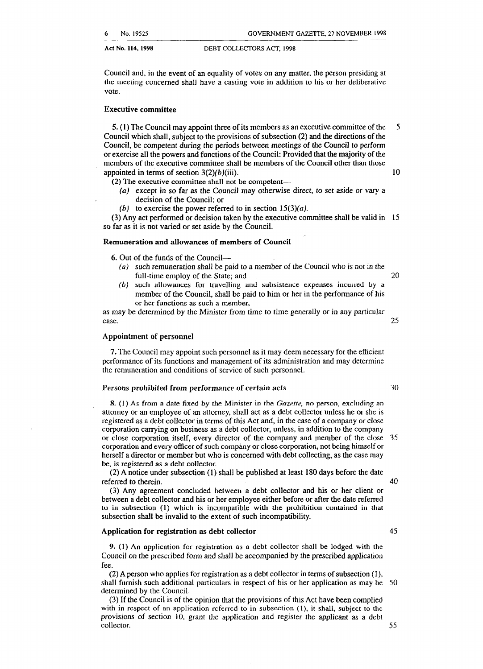Council and, in the event of an equality of votes on any matter, the person presiding at the meeting concerned shall have a casting vote in addition to his or her deliberative vote.

#### **Executive committee**

5. (1) The Council may appoint three of its members as an executive committee of the 5 Council which shall, subject to the provisions of subsection (2) and the directions of the Council, be competent during the periods between meetings of the Council to perform or exercise all the powers and functions of the Council: Provided that the majority of the members of the executive committee shall be members of the Council other than those appointed in terms of section  $3(2)(b)(iii)$ . 10

- (2) The executive committee shall not be competent-
	- (a) except in so far as the Council may otherwise direct, to set aside or vary a decision of the Council; or
	- (b) to exercise the power referred to in section  $15(3)(a)$ .

(3) Any act performed or decision taken by the executive committee shall be valid in 15 so far as it is not varied or set aside by the Council.

#### **Remuneration and allowances of members of Council** '

**6.** Out of the funds of the Council-

- (a) such remuneration shall be paid to a member of the Council who is not in the full-time employ of the State; and 20
- (b) such allowances for travelling and subsistence expenses incurred by a member of the Council, shall be paid to him or her in the performance of his or her functions as such a member,

as may be determined by the Minister from time to time generally or in any particular case.

#### **Appointment of personnel**

**7.** The Council may appoint such personnel as it may deem necessary for the efficient performance of its functions and management of its administration and may determine the remuneration and conditions of service of such personnel.

#### Persons **prohibited from performance of certain acts**

8. (1) As from a date fixed by the Minister in the *Gazette,* no person, excluding an attorney or an employee of an attorney, shall act as a debt collector unless he or she is registered as a debt collector in terms of this Act and, in the case of a company or close corporation carrying on business as a debt collector, unless, in addition to the company or close corporation itself, every director of the company and member of the close corporation and every officer of such company or close corporation, not being himself or herself a director or member but who is concerned with debt collecting, as the case may be, is registered as a debt collector. 35

(2) A notice under subsection (1) shall be published at least 180 days before the date referred to therein.

(3) Any agreement concluded between a debt collector and his or her client or between a debt collector and his or her employee either before or after the date referred to in subsection (1) which is incompatible with the prohibition contained in that subsection **shall be invalid to the extent of such incompatibility.** 

#### **Application for registration as debt collector**

**9.** (1) An application for registration as a debt collector shall he lodged with the Council on the prescribed form and shall be accompanied by the prescribed application fee.

(2) A person who applies for registration as a debt collector in terms of subsection (1). shall furnish such additional particulars in respect of his or her application as may be 50 determined by the Council.

(3) If the Council is of the opinion that the provisions of this Act have been complied with in respect of an application referred to in subsection (1). it shall, subject to the provisions of section 10, grant the application and register the applicant as a debt collector.

25

40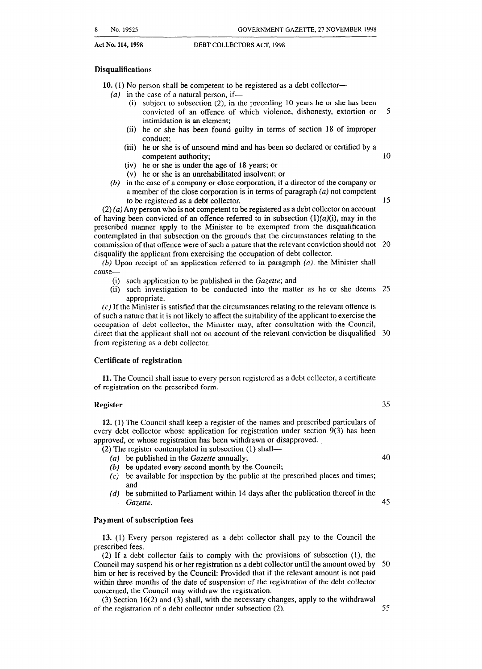#### **Disqualifications**

**10.** (1) No person shall be competent to be registered as a debt collector-

- $(a)$  in the case of a natural person, if-
	- (i) subject to subsection (2), in the preceding 10 years he or she has been convicted of an offence of which violence, dishonesty, extortion or 5 intimidation is an element;
	- (ii) he or she has been found guilty in terms of section 18 of improper conduct;
	- (iii) he or she is of unsound mind and has been so declared or certified by a competent authority; 10
	- (iv) he or she is under the age of 18 years; or
	- (v) he or she is an unrehabilitated insolvent; or
- (6) in the case of a company or close corporation, if a director of the company or a member of the close corporation is in terms of paragraph (a) not competent to be registered as a debt collector. 15

 $(2)$  (a) Any person who is not competent to be registered as a debt collector on account of having been convicted of an offence referred to in subsection  $(1)(a)(i)$ , may in the prescribed manner apply to the Minister to be exempted from the disqualification contemplated in that subsection on the grounds that the circumstances relating to the commission of that offence were of such a nature that the relevant conviction should not 20 disqualify the applicant from exercising the occupation of debt collector.

*(b)* Upon receipt of an application referred to in paragraph (a), the Minister shall cause-

- (i) such application to be published in the *Gazette;* and
- (ii) such investigation to be conducted into the matter as he or she deems 25 appropriate.

 $(c)$  If the Minister is satisfied that the circumstances relating to the relevant offence is of such a nature that it is not likely to affect the suitability of the applicant to exercise the occupation of debt collector, the Minister may, after consultation with the Council, direct that the applicant shall not on account of the relevant conviction be disqualified 30 from registering as a debt collector.

#### **Certificate of registration**

**11.** The Council shall issue to every person registered as a debt collector, a certificate of registration on the prescribed form.

#### **Register 35**

**12.** (1) The Council shall keep a register of the names and prescribed particulars of every debt collector whose application for registration under section 9(3) has been approved, or whose registration has been withdrawn or disapproved.

(2) The register contemplated in subsection (1) shall-

- be published in the *Gazette* annually; 40
- $(b)$  be updated every second month by the Council;
- $(c)$  be available for inspection by the public at the prescribed places and times; and
- be submitted to Parliament within 14 days after the publication thereof in the  $(d)$ *Gazette.* 45

#### **Payment of subscription fees**

**13.** (1) Every person registered as a debt collector shall pay to the Council the prescribed fees.

(2) If a debt collector fails to comply with the provisions of subsection (l), the Council may suspend his or her registration as a debt collector until the amount owed by 50 him or her is received by the Council: Provided that if the relevant amount is not paid within three months of the date of suspension of the registration of the debt collector concerned, the Council may withdraw the registration.

(3) Section 16(2) and (3) shall, with the necessary changes, apply to the withdrawal of the registration of a debt collector under subsection (2). 55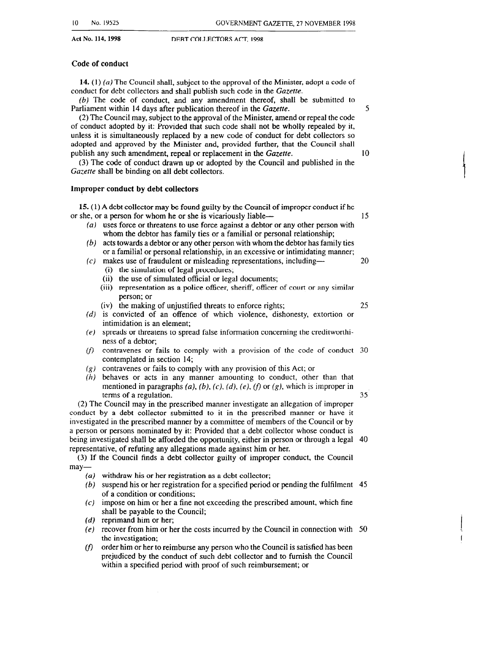#### **Code of conduct**

**14.** (1) (a) The Council shall, subject to the approval of the Minister, adopt a code of conduct for debt collectors and shall publish such code in the Gazette.

 $(b)$  The code of conduct, and any amendment thereof, shall be submitted to Parliament within 14 days after publication thereof in the *Gazefre. 5* 

(2) The Council may, subject to the approval of the Minister, amend or repeal the code of conduct adopted by it: Provided that such code shall not be wholly repealed by it, unless it is simultaneously replaced by a new code of conduct for debt collectors so adopted and approved by the Minister and, provided further, that the Council shall publish any such amendment, repeal or replacement **in the** *Gazette. 10* 

(3) The code of conduct drawn up or adopted by the Council and published in the Gazette shall be binding on all debt collectors.

#### Improper **conduct by debt collectors**

**15. (** 1) A debt collector may be found guilty by the Council of improper conduct if he or she, or a person for whom he or she is vicariously liable--

- $(a)$  uses force or threatens to use force against a debtor or any other person with whom the debtor has family ties or a familial or personal relationship;
- $(b)$  acts towards a debtor or any other person with whom the debtor has family ties or a familial or personal relationship, in an excessive or intimidating manner;
- $(c)$  makes use of fraudulent or misleading representations, including— $10$ (i) the simulation of legal procedures;
	- (ii) the use of simulated official or legal documents;
	- (iii) representation as a police officer, sheriff, officer of court or any similar person; or
	- (iv) the making of unjustified threats to enforce rights; 25
- (d) is convicted of an offence of which violence, dishonesty, extortion or intimidation is an element;
- $(e)$  spreads or threatens to spread false information concerning the creditworth ness of a debtor;
- $(f)$ contravenes or fails to comply with a provision of the code of conduct 30 contemplated in section 14;
- (g) contravenes or fails to comply with any provision of this Act; or
- $(h)$  behaves or acts in any manner amounting to conduct, other than that mentioned in paragraphs (a), (b), (c), (d), (e), (f) or (g), which is improper in terms of a regulation. 35

(2) The Council may in the prescribed manner investigate an allegation of improper conduct by a debt collector submitted to it in the prescribed manner or have it investigated in the prescribed manner by a committee of members of the Council or by a person or persons nominated by it: Provided that a debt collector whose conduct is being investigated shall be afforded the opportunity, either in person or through a legal 40 representative, of refuting any allegations made against him or her.

(3) If the Council finds a debt collector guilty of improper conduct, the Council may-

- ( $a$ ) withdraw his or her registration as a debt collector
- (b) suspend his or her registration for a specified period or pending the fulfilment  $\,$  45 of a condition or conditions;
- $(c)$  impose on him or her a fine not exceeding the prescribed amount, which fine shall be payable to the Council;
- (d) reprimand him or her;
- (e) recover from him or her the costs incurred by the Council in connection with 50 the investigation;
- $(f)$ order him or her to reimburse any person who the Council is satisfied has been prejudiced by the conduct of such debt collector and to furnish the Council within a specified period with proof of such reimbursement; or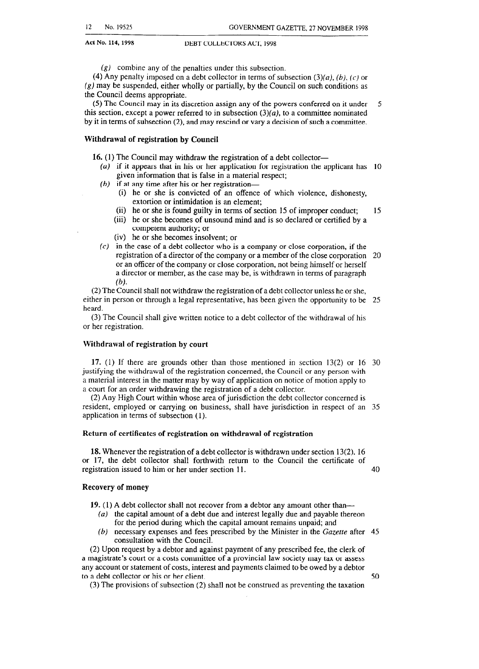(g) combine any of the penalties under this subsection.

(4) Any penalty imposed on a debt collector in terms of subsection  $(3)(a)$ ,  $(b)$ ,  $(c)$  or  $(g)$  may be suspended, either wholly or partially, by the Council on such conditions as the Council deems appropriate.

(5) The Council may in its discretion assign any of the powers conferred on it under this section, except a power referred to in subsection  $(3)(a)$ , to a committee nominated by it in terms of subsection (2), and may rescind or vary a decision of such a committee. 5

### **Withdrawal of registration by Council**

16. (1) The Council may withdraw the registration of a debt collector-

- (a) if it appears that in his or her application for registration the applicant has 10 given information that is false in a material respect;
- (b) if at any time after his or her registration-
	- (i) he or she is convicted of an offence of which violence, dishonesty, extortion or intimidation is an element;
	- (ii) he or she is found guilty in terms of section 15 of improper conduct; 15
	- (iii) he or she becomes of unsound mind and is so declared or certified by a competent authority; or
	- (iv) he or she becomes insolvent; or
- $(c)$  in the case of a debt collector who is a company or close corporation, if the registration of a director of the company or a member of the close corporation *20*  or an officer of the company or close corporation, not being himself or herself a director or member, as the case may be, is withdrawn in terms of paragraph  $(b)$ .

**(2)** The Council shall not withdraw the registration of a debt collector unless he or she, either in person or through a legal representative, has been given the opportunity to be *25*  heard.

(3) The Council shall give written notice to a debt collector of the withdrawal of his or her registration.

#### **Withdrawal of registration by court**

**17.** (1) If there are grounds other than those mentioned in section 13(2) or 16 *30*  justifying the withdrawal of the registration concerned, the Council or any person with a material interest in the matter may by way of application on notice of motion apply to a court for an order withdrawing the registration of a debt collector.

(2) Any High Court within whose area of jurisdiction the debt collector concerned is resident, employed or carrying on business, shall have jurisdiction in respect of an *35*  application in terms of subsection (1).

#### Return of certificates of registration on withdrawal of registration

18. Whenever the registration of a debt collector is withdrawn under section 13(2), 16 or 17, the debt collector shall forthwith return to the Council the certificate of registration issued to him or her under section 11.

*40* 

*50* 

#### Recovery **of money**

**19.** (1) A debt collector shall not recover from a debtor any amount other than-

- (a) the capital amount of a debt due and interest legally due and payable thereon for the period during which the capital amount remains unpaid; and
- *(b)* necessary expenses and fees prescribed by the Minister in the *Gazette* after *45*  consultation with the Council.

(2) Upon request by a debtor and against payment of any prescribed fee, the clerk of a magistrate's court or a costs committee of a provincial law society may tax or assess any account or statement of costs, interest and payments claimed to be owed by a debtor to a debt collector or his or her client.

(3) The provisions of subsection (2) shall not be construed as preventing the taxation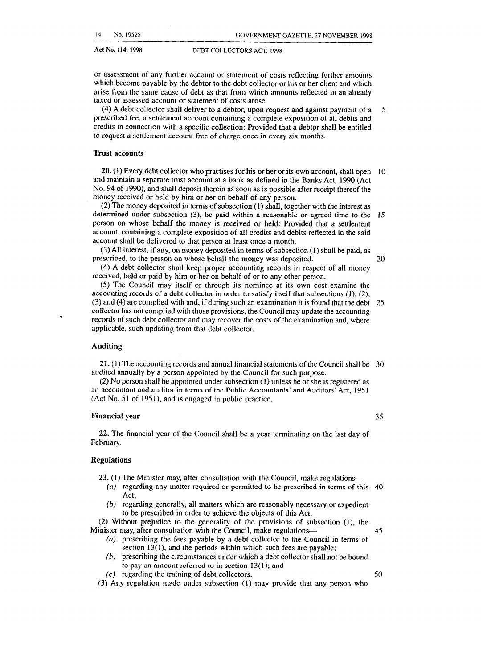or assessment of any further account or statement of costs reflecting further amounts which become payable by the debtor to the debt collector or his or her client and which arise from the same cause of debt as that from which amounts reflected in an already taxed or assessed account or statement of costs arose.

(4) A debt collector shall deliver to a debtor, upon request and against payment of a prescribed fee, a settlement account containing a complete exposition of all debits and credits in connection with a specific collection: Provided that a debtor shall be entitled to request a settlement account free of charge once in every six months.

#### Trust accounts

20. (1) Every debt collector who practises for his or her or its own account, shall open 10 and maintain a separate trust account at a bank as defined in the Banks Act, 1990 (Act No. 94 of 1990), and shall deposit therein as soon as is possible after receipt thereof the money received or held by him or her on behalf of any person.

(2) The money deposited in terms of subsection (1) shall, together with the interest as determined under subsection (3), be paid within a reasonable or agreed time to the 15 person on whose behalf the money is received or held: Provided that a settlement account, containing a complete exposition of all credits and debits reflected in the said account shall be delivered to that person at least once a month.

(3) All interest, if any, on money deposited in terms of subsection (1) shall be paid, as prescribed, to the person on whose behalf the money was deposited. 20

(4) A debt collector shall keep proper accounting records in respect of all money received, held or paid by him or her on behalf of or to any other person.

(5) The Council may itself or through its nominee at its own cost examine the accounting records of a debt collector in order to satisfy itself that subsections (l), (2), (3) and (4) are complied with and, if during such an examination it is found that the debt 25 collector has not complied with those provisions, the Council may update the accounting records of such debt collector and may recover the costs of the examination and, where applicable, such updating from that debt collector.

#### Auditing

21. (1) The accounting records and annual financial statements of the Council shall be 30 audited annually by a person appointed by the Council for such purpose.

(2) No person shall be appointed under subsection (1) unless he or she is registered as an accountant and auditor in terms of the Public Accountants' and Auditors' Act, 195 1 (Act No. 51 of 1951), and is engaged in public practice.

#### Financial year 35

22. The financial year of the Council shall be a year terminating on the last day of February.

#### Regulations

23. (1) The Minister may, after consultation with the Council, make regulations-

- (a) regarding any matter required or permitted to be prescribed in terms of this 40 Act;
	- (6) regarding generally, all matters which are reasonably necessary or expedient to be prescribed in order to achieve the objects of this Act.

(2) Without prejudice to the generality of the provisions of subsection (l), the Minister may, after consultation with the Council, make regulations—  $35$ 

- (a) prescribing the fees payable by a debt collector to the Council in terms of section 13(1), and the periods within which such fees are payable;
- *(b)* prescribing the circumstances under which a debt collector shall not be bound to pay an amount referred to in section  $13(1)$ ; and (c) regarding the training of debt collectors. 50
- (3) Any regulation made under subsection (1) may provide that any person who

5